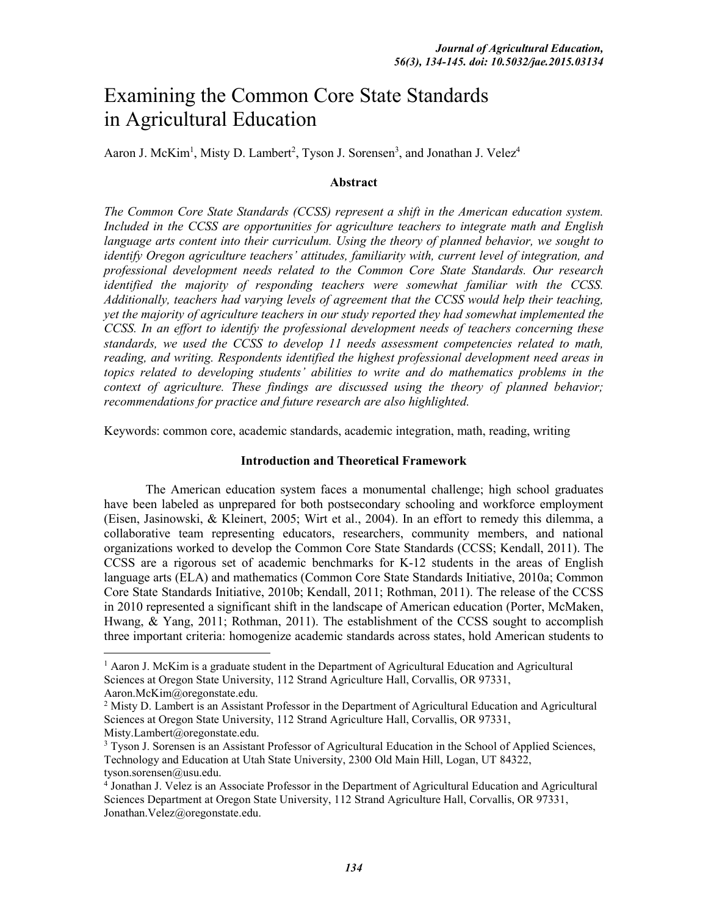# Examining the Common Core State Standards in Agricultural Education

Aaron J. McKim<sup>1</sup>, Misty D. Lambert<sup>2</sup>, Tyson J. Sorensen<sup>3</sup>, and Jonathan J. Velez<sup>4</sup>

#### **Abstract**

*The Common Core State Standards (CCSS) represent a shift in the American education system. Included in the CCSS are opportunities for agriculture teachers to integrate math and English language arts content into their curriculum. Using the theory of planned behavior, we sought to identify Oregon agriculture teachers' attitudes, familiarity with, current level of integration, and professional development needs related to the Common Core State Standards. Our research identified the majority of responding teachers were somewhat familiar with the CCSS. Additionally, teachers had varying levels of agreement that the CCSS would help their teaching, yet the majority of agriculture teachers in our study reported they had somewhat implemented the CCSS. In an effort to identify the professional development needs of teachers concerning these standards, we used the CCSS to develop 11 needs assessment competencies related to math, reading, and writing. Respondents identified the highest professional development need areas in topics related to developing students' abilities to write and do mathematics problems in the context of agriculture. These findings are discussed using the theory of planned behavior; recommendations for practice and future research are also highlighted.*

Keywords: common core, academic standards, academic integration, math, reading, writing

#### **Introduction and Theoretical Framework**

The American education system faces a monumental challenge; high school graduates have been labeled as unprepared for both postsecondary schooling and workforce employment (Eisen, Jasinowski, & Kleinert, 2005; Wirt et al., 2004). In an effort to remedy this dilemma, a collaborative team representing educators, researchers, community members, and national organizations worked to develop the Common Core State Standards (CCSS; Kendall, 2011). The CCSS are a rigorous set of academic benchmarks for K-12 students in the areas of English language arts (ELA) and mathematics (Common Core State Standards Initiative, 2010a; Common Core State Standards Initiative, 2010b; Kendall, 2011; Rothman, 2011). The release of the CCSS in 2010 represented a significant shift in the landscape of American education (Porter, McMaken, Hwang, & Yang, 2011; Rothman, 2011). The establishment of the CCSS sought to accomplish three important criteria: homogenize academic standards across states, hold American students to

<sup>&</sup>lt;sup>1</sup> Aaron J. McKim is a graduate student in the Department of Agricultural Education and Agricultural Sciences at Oregon State University, 112 Strand Agriculture Hall, Corvallis, OR 97331,

Aaron.McKim@oregonstate.edu.

<sup>&</sup>lt;sup>2</sup> Misty D. Lambert is an Assistant Professor in the Department of Agricultural Education and Agricultural Sciences at Oregon State University, 112 Strand Agriculture Hall, Corvallis, OR 97331, Misty.Lambert@oregonstate.edu.

<sup>&</sup>lt;sup>3</sup> Tyson J. Sorensen is an Assistant Professor of Agricultural Education in the School of Applied Sciences, Technology and Education at Utah State University, 2300 Old Main Hill, Logan, UT 84322, tyson.sorensen@usu.edu.

<sup>4</sup> Jonathan J. Velez is an Associate Professor in the Department of Agricultural Education and Agricultural Sciences Department at Oregon State University, 112 Strand Agriculture Hall, Corvallis, OR 97331, Jonathan.Velez@oregonstate.edu.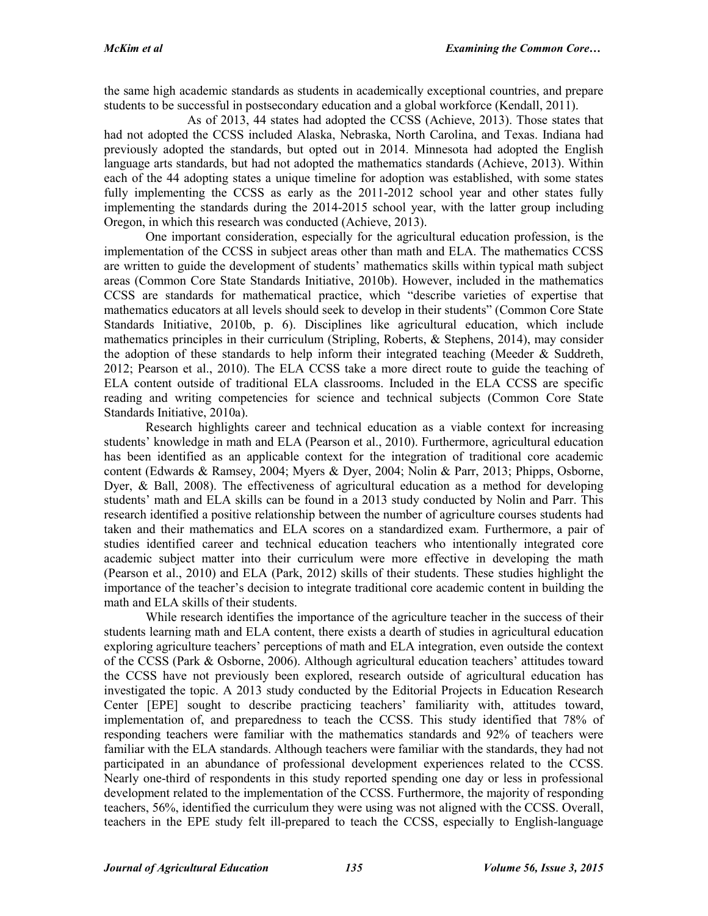the same high academic standards as students in academically exceptional countries, and prepare students to be successful in postsecondary education and a global workforce (Kendall, 2011).

As of 2013, 44 states had adopted the CCSS (Achieve, 2013). Those states that had not adopted the CCSS included Alaska, Nebraska, North Carolina, and Texas. Indiana had previously adopted the standards, but opted out in 2014. Minnesota had adopted the English language arts standards, but had not adopted the mathematics standards (Achieve, 2013). Within each of the 44 adopting states a unique timeline for adoption was established, with some states fully implementing the CCSS as early as the 2011-2012 school year and other states fully implementing the standards during the 2014-2015 school year, with the latter group including Oregon, in which this research was conducted (Achieve, 2013).

One important consideration, especially for the agricultural education profession, is the implementation of the CCSS in subject areas other than math and ELA. The mathematics CCSS are written to guide the development of students' mathematics skills within typical math subject areas (Common Core State Standards Initiative, 2010b). However, included in the mathematics CCSS are standards for mathematical practice, which "describe varieties of expertise that mathematics educators at all levels should seek to develop in their students" (Common Core State Standards Initiative, 2010b, p. 6). Disciplines like agricultural education, which include mathematics principles in their curriculum (Stripling, Roberts, & Stephens, 2014), may consider the adoption of these standards to help inform their integrated teaching (Meeder  $\&$  Suddreth, 2012; Pearson et al., 2010). The ELA CCSS take a more direct route to guide the teaching of ELA content outside of traditional ELA classrooms. Included in the ELA CCSS are specific reading and writing competencies for science and technical subjects (Common Core State Standards Initiative, 2010a).

Research highlights career and technical education as a viable context for increasing students' knowledge in math and ELA (Pearson et al., 2010). Furthermore, agricultural education has been identified as an applicable context for the integration of traditional core academic content (Edwards & Ramsey, 2004; Myers & Dyer, 2004; Nolin & Parr, 2013; Phipps, Osborne, Dyer, & Ball, 2008). The effectiveness of agricultural education as a method for developing students' math and ELA skills can be found in a 2013 study conducted by Nolin and Parr. This research identified a positive relationship between the number of agriculture courses students had taken and their mathematics and ELA scores on a standardized exam. Furthermore, a pair of studies identified career and technical education teachers who intentionally integrated core academic subject matter into their curriculum were more effective in developing the math (Pearson et al., 2010) and ELA (Park, 2012) skills of their students. These studies highlight the importance of the teacher's decision to integrate traditional core academic content in building the math and ELA skills of their students.

While research identifies the importance of the agriculture teacher in the success of their students learning math and ELA content, there exists a dearth of studies in agricultural education exploring agriculture teachers' perceptions of math and ELA integration, even outside the context of the CCSS (Park & Osborne, 2006). Although agricultural education teachers' attitudes toward the CCSS have not previously been explored, research outside of agricultural education has investigated the topic. A 2013 study conducted by the Editorial Projects in Education Research Center [EPE] sought to describe practicing teachers' familiarity with, attitudes toward, implementation of, and preparedness to teach the CCSS. This study identified that 78% of responding teachers were familiar with the mathematics standards and 92% of teachers were familiar with the ELA standards. Although teachers were familiar with the standards, they had not participated in an abundance of professional development experiences related to the CCSS. Nearly one-third of respondents in this study reported spending one day or less in professional development related to the implementation of the CCSS. Furthermore, the majority of responding teachers, 56%, identified the curriculum they were using was not aligned with the CCSS. Overall, teachers in the EPE study felt ill-prepared to teach the CCSS, especially to English-language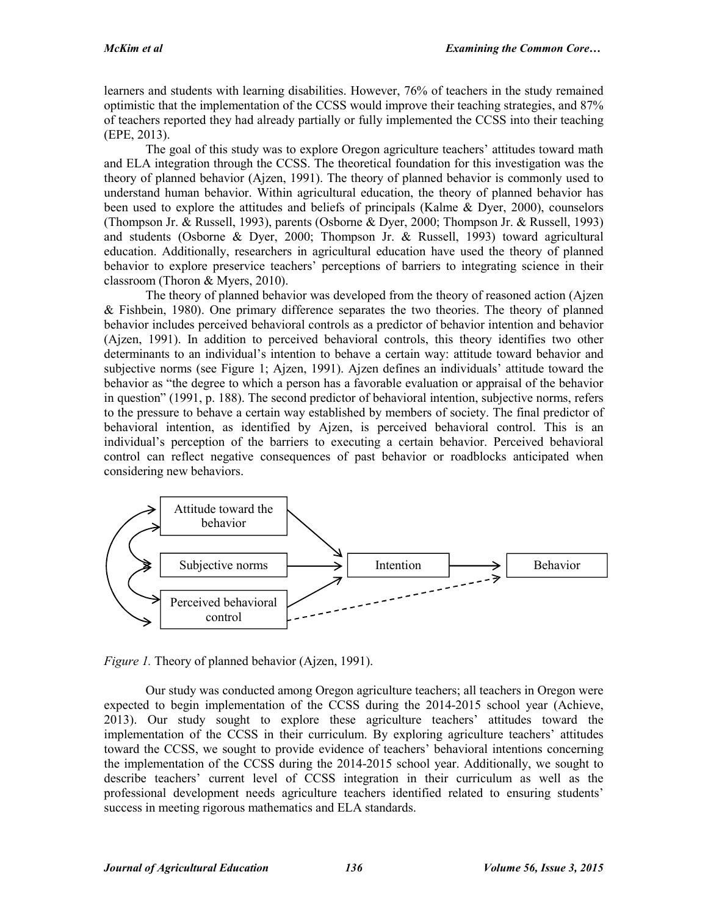learners and students with learning disabilities. However, 76% of teachers in the study remained optimistic that the implementation of the CCSS would improve their teaching strategies, and 87% of teachers reported they had already partially or fully implemented the CCSS into their teaching (EPE, 2013).

The goal of this study was to explore Oregon agriculture teachers' attitudes toward math and ELA integration through the CCSS. The theoretical foundation for this investigation was the theory of planned behavior (Ajzen, 1991). The theory of planned behavior is commonly used to understand human behavior. Within agricultural education, the theory of planned behavior has been used to explore the attitudes and beliefs of principals (Kalme & Dyer, 2000), counselors (Thompson Jr. & Russell, 1993), parents (Osborne & Dyer, 2000; Thompson Jr. & Russell, 1993) and students (Osborne & Dyer, 2000; Thompson Jr. & Russell, 1993) toward agricultural education. Additionally, researchers in agricultural education have used the theory of planned behavior to explore preservice teachers' perceptions of barriers to integrating science in their classroom (Thoron & Myers, 2010).

The theory of planned behavior was developed from the theory of reasoned action (Ajzen & Fishbein, 1980). One primary difference separates the two theories. The theory of planned behavior includes perceived behavioral controls as a predictor of behavior intention and behavior (Ajzen, 1991). In addition to perceived behavioral controls, this theory identifies two other determinants to an individual's intention to behave a certain way: attitude toward behavior and subjective norms (see Figure 1; Ajzen, 1991). Ajzen defines an individuals' attitude toward the behavior as "the degree to which a person has a favorable evaluation or appraisal of the behavior in question" (1991, p. 188). The second predictor of behavioral intention, subjective norms, refers to the pressure to behave a certain way established by members of society. The final predictor of behavioral intention, as identified by Ajzen, is perceived behavioral control. This is an individual's perception of the barriers to executing a certain behavior. Perceived behavioral control can reflect negative consequences of past behavior or roadblocks anticipated when considering new behaviors.



*Figure 1.* Theory of planned behavior (Ajzen, 1991).

Our study was conducted among Oregon agriculture teachers; all teachers in Oregon were expected to begin implementation of the CCSS during the 2014-2015 school year (Achieve, 2013). Our study sought to explore these agriculture teachers' attitudes toward the implementation of the CCSS in their curriculum. By exploring agriculture teachers' attitudes toward the CCSS, we sought to provide evidence of teachers' behavioral intentions concerning the implementation of the CCSS during the 2014-2015 school year. Additionally, we sought to describe teachers' current level of CCSS integration in their curriculum as well as the professional development needs agriculture teachers identified related to ensuring students' success in meeting rigorous mathematics and ELA standards.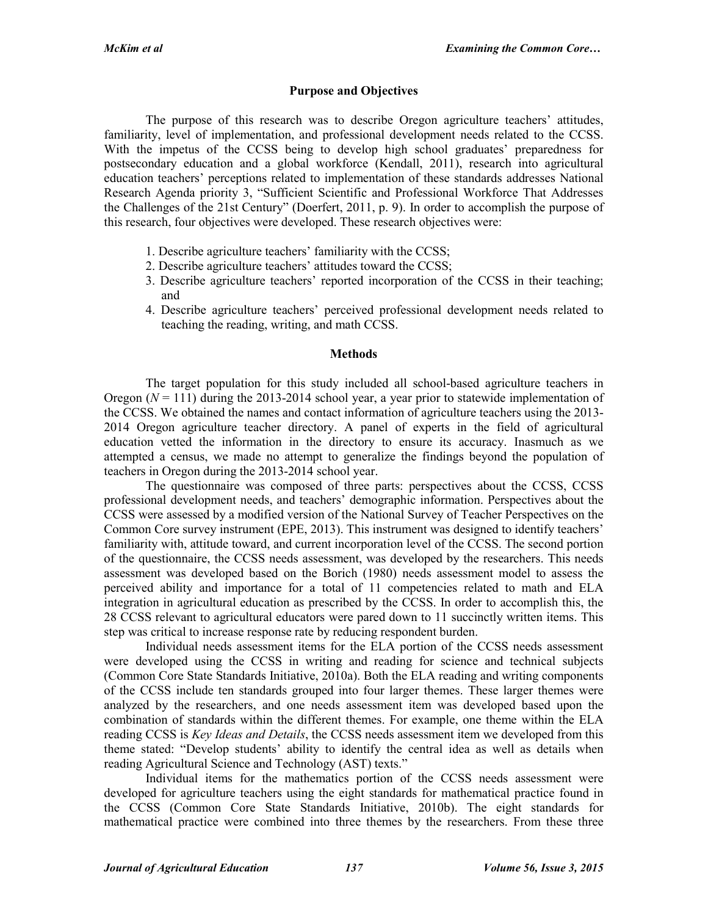#### **Purpose and Objectives**

The purpose of this research was to describe Oregon agriculture teachers' attitudes, familiarity, level of implementation, and professional development needs related to the CCSS. With the impetus of the CCSS being to develop high school graduates' preparedness for postsecondary education and a global workforce (Kendall, 2011), research into agricultural education teachers' perceptions related to implementation of these standards addresses National Research Agenda priority 3, "Sufficient Scientific and Professional Workforce That Addresses the Challenges of the 21st Century" (Doerfert, 2011, p. 9). In order to accomplish the purpose of this research, four objectives were developed. These research objectives were:

- 1. Describe agriculture teachers' familiarity with the CCSS;
- 2. Describe agriculture teachers' attitudes toward the CCSS;
- 3. Describe agriculture teachers' reported incorporation of the CCSS in their teaching; and
- 4. Describe agriculture teachers' perceived professional development needs related to teaching the reading, writing, and math CCSS.

#### **Methods**

The target population for this study included all school-based agriculture teachers in Oregon  $(N = 111)$  during the 2013-2014 school year, a year prior to statewide implementation of the CCSS. We obtained the names and contact information of agriculture teachers using the 2013- 2014 Oregon agriculture teacher directory. A panel of experts in the field of agricultural education vetted the information in the directory to ensure its accuracy. Inasmuch as we attempted a census, we made no attempt to generalize the findings beyond the population of teachers in Oregon during the 2013-2014 school year.

The questionnaire was composed of three parts: perspectives about the CCSS, CCSS professional development needs, and teachers' demographic information. Perspectives about the CCSS were assessed by a modified version of the National Survey of Teacher Perspectives on the Common Core survey instrument (EPE, 2013). This instrument was designed to identify teachers' familiarity with, attitude toward, and current incorporation level of the CCSS. The second portion of the questionnaire, the CCSS needs assessment, was developed by the researchers. This needs assessment was developed based on the Borich (1980) needs assessment model to assess the perceived ability and importance for a total of 11 competencies related to math and ELA integration in agricultural education as prescribed by the CCSS. In order to accomplish this, the 28 CCSS relevant to agricultural educators were pared down to 11 succinctly written items. This step was critical to increase response rate by reducing respondent burden.

Individual needs assessment items for the ELA portion of the CCSS needs assessment were developed using the CCSS in writing and reading for science and technical subjects (Common Core State Standards Initiative, 2010a). Both the ELA reading and writing components of the CCSS include ten standards grouped into four larger themes. These larger themes were analyzed by the researchers, and one needs assessment item was developed based upon the combination of standards within the different themes. For example, one theme within the ELA reading CCSS is *Key Ideas and Details*, the CCSS needs assessment item we developed from this theme stated: "Develop students' ability to identify the central idea as well as details when reading Agricultural Science and Technology (AST) texts."

Individual items for the mathematics portion of the CCSS needs assessment were developed for agriculture teachers using the eight standards for mathematical practice found in the CCSS (Common Core State Standards Initiative, 2010b). The eight standards for mathematical practice were combined into three themes by the researchers. From these three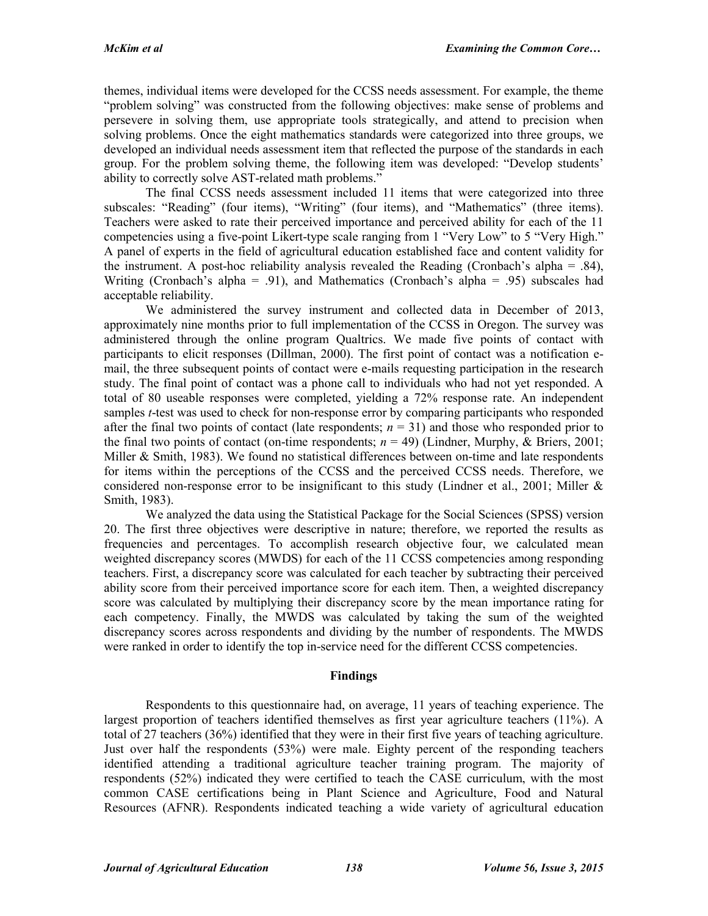themes, individual items were developed for the CCSS needs assessment. For example, the theme "problem solving" was constructed from the following objectives: make sense of problems and persevere in solving them, use appropriate tools strategically, and attend to precision when solving problems. Once the eight mathematics standards were categorized into three groups, we developed an individual needs assessment item that reflected the purpose of the standards in each group. For the problem solving theme, the following item was developed: "Develop students' ability to correctly solve AST-related math problems."

The final CCSS needs assessment included 11 items that were categorized into three subscales: "Reading" (four items), "Writing" (four items), and "Mathematics" (three items). Teachers were asked to rate their perceived importance and perceived ability for each of the 11 competencies using a five-point Likert-type scale ranging from 1 "Very Low" to 5 "Very High." A panel of experts in the field of agricultural education established face and content validity for the instrument. A post-hoc reliability analysis revealed the Reading (Cronbach's alpha = .84), Writing (Cronbach's alpha = .91), and Mathematics (Cronbach's alpha = .95) subscales had acceptable reliability.

We administered the survey instrument and collected data in December of 2013, approximately nine months prior to full implementation of the CCSS in Oregon. The survey was administered through the online program Qualtrics. We made five points of contact with participants to elicit responses (Dillman, 2000). The first point of contact was a notification email, the three subsequent points of contact were e-mails requesting participation in the research study. The final point of contact was a phone call to individuals who had not yet responded. A total of 80 useable responses were completed, yielding a 72% response rate. An independent samples *t*-test was used to check for non-response error by comparing participants who responded after the final two points of contact (late respondents;  $n = 31$ ) and those who responded prior to the final two points of contact (on-time respondents;  $n = 49$ ) (Lindner, Murphy, & Briers, 2001; Miller & Smith, 1983). We found no statistical differences between on-time and late respondents for items within the perceptions of the CCSS and the perceived CCSS needs. Therefore, we considered non-response error to be insignificant to this study (Lindner et al., 2001; Miller  $\&$ Smith, 1983).

We analyzed the data using the Statistical Package for the Social Sciences (SPSS) version 20. The first three objectives were descriptive in nature; therefore, we reported the results as frequencies and percentages. To accomplish research objective four, we calculated mean weighted discrepancy scores (MWDS) for each of the 11 CCSS competencies among responding teachers. First, a discrepancy score was calculated for each teacher by subtracting their perceived ability score from their perceived importance score for each item. Then, a weighted discrepancy score was calculated by multiplying their discrepancy score by the mean importance rating for each competency. Finally, the MWDS was calculated by taking the sum of the weighted discrepancy scores across respondents and dividing by the number of respondents. The MWDS were ranked in order to identify the top in-service need for the different CCSS competencies.

# **Findings**

Respondents to this questionnaire had, on average, 11 years of teaching experience. The largest proportion of teachers identified themselves as first year agriculture teachers (11%). A total of 27 teachers (36%) identified that they were in their first five years of teaching agriculture. Just over half the respondents (53%) were male. Eighty percent of the responding teachers identified attending a traditional agriculture teacher training program. The majority of respondents (52%) indicated they were certified to teach the CASE curriculum, with the most common CASE certifications being in Plant Science and Agriculture, Food and Natural Resources (AFNR). Respondents indicated teaching a wide variety of agricultural education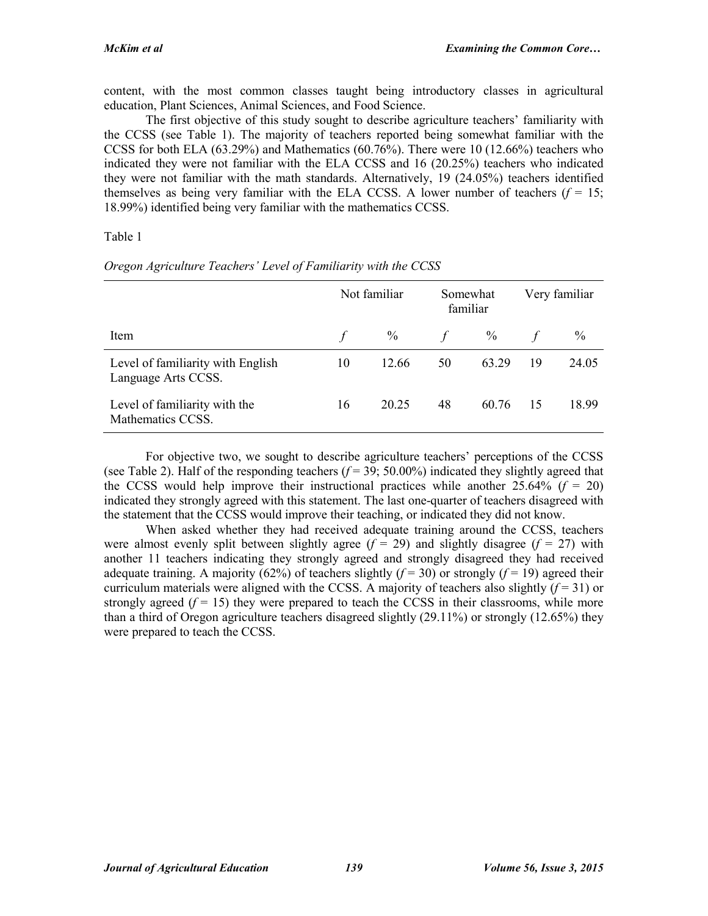content, with the most common classes taught being introductory classes in agricultural education, Plant Sciences, Animal Sciences, and Food Science.

The first objective of this study sought to describe agriculture teachers' familiarity with the CCSS (see Table 1). The majority of teachers reported being somewhat familiar with the CCSS for both ELA (63.29%) and Mathematics (60.76%). There were 10 (12.66%) teachers who indicated they were not familiar with the ELA CCSS and 16 (20.25%) teachers who indicated they were not familiar with the math standards. Alternatively, 19 (24.05%) teachers identified themselves as being very familiar with the ELA CCSS. A lower number of teachers  $(f = 15$ ; 18.99%) identified being very familiar with the mathematics CCSS.

Table 1

|                                                          | Not familiar |       | Somewhat<br>familiar |       | Very familiar |               |
|----------------------------------------------------------|--------------|-------|----------------------|-------|---------------|---------------|
| Item                                                     |              | $\%$  | f                    | $\%$  |               | $\frac{0}{0}$ |
| Level of familiarity with English<br>Language Arts CCSS. | 10           | 12.66 | 50                   | 63.29 | 19            | 24.05         |
| Level of familiarity with the<br>Mathematics CCSS.       | 16           | 20 25 | 48                   | 60.76 | 15            | 18.99         |

*Oregon Agriculture Teachers' Level of Familiarity with the CCSS*

For objective two, we sought to describe agriculture teachers' perceptions of the CCSS (see Table 2). Half of the responding teachers  $(f = 39; 50.00\%)$  indicated they slightly agreed that the CCSS would help improve their instructional practices while another  $25.64\%$  ( $f = 20$ ) indicated they strongly agreed with this statement. The last one-quarter of teachers disagreed with the statement that the CCSS would improve their teaching, or indicated they did not know.

When asked whether they had received adequate training around the CCSS, teachers were almost evenly split between slightly agree  $(f = 29)$  and slightly disagree  $(f = 27)$  with another 11 teachers indicating they strongly agreed and strongly disagreed they had received adequate training. A majority (62%) of teachers slightly ( $f = 30$ ) or strongly ( $f = 19$ ) agreed their curriculum materials were aligned with the CCSS. A majority of teachers also slightly  $(f=31)$  or strongly agreed  $(f = 15)$  they were prepared to teach the CCSS in their classrooms, while more than a third of Oregon agriculture teachers disagreed slightly (29.11%) or strongly (12.65%) they were prepared to teach the CCSS.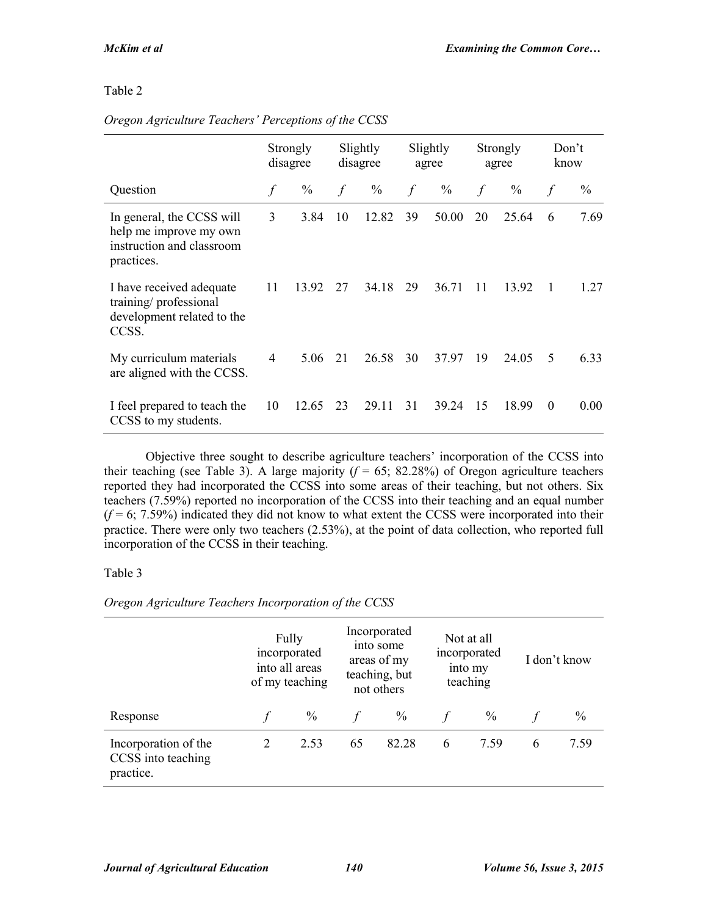# Table 2

#### **Question Strongly** disagree Slightly disagree Slightly agree Strongly agree Don't know *f* % *f* % *f* % *f* % *f* % In general, the CCSS will help me improve my own instruction and classroom practices. 3 3.84 10 12.82 39 50.00 20 25.64 6 7.69 I have received adequate training/ professional development related to the CCSS. 11 13.92 27 34.18 29 36.71 11 13.92 1 1.27 My curriculum materials are aligned with the CCSS. 4 5.06 21 26.58 30 37.97 19 24.05 5 6.33 I feel prepared to teach the CCSS to my students. 10 12.65 23 29.11 31 39.24 15 18.99 0 0.00

#### *Oregon Agriculture Teachers' Perceptions of the CCSS*

Objective three sought to describe agriculture teachers' incorporation of the CCSS into their teaching (see Table 3). A large majority  $(f = 65; 82.28%)$  of Oregon agriculture teachers reported they had incorporated the CCSS into some areas of their teaching, but not others. Six teachers (7.59%) reported no incorporation of the CCSS into their teaching and an equal number  $(f=6; 7.59%)$  indicated they did not know to what extent the CCSS were incorporated into their practice. There were only two teachers (2.53%), at the point of data collection, who reported full incorporation of the CCSS in their teaching.

# Table 3

|                                                         |   | Fully<br>incorporated<br>into all areas<br>of my teaching |    | Incorporated<br>into some<br>areas of my<br>teaching, but<br>not others | Not at all<br>incorporated<br>into my<br>teaching |               | I don't know |               |
|---------------------------------------------------------|---|-----------------------------------------------------------|----|-------------------------------------------------------------------------|---------------------------------------------------|---------------|--------------|---------------|
| Response                                                |   | $\frac{0}{0}$                                             |    | $\frac{0}{0}$                                                           |                                                   | $\frac{0}{0}$ |              | $\frac{0}{0}$ |
| Incorporation of the<br>CCSS into teaching<br>practice. | 2 | 2.53                                                      | 65 | 82.28                                                                   | 6                                                 | 7.59          | 6            | 7.59          |

*Oregon Agriculture Teachers Incorporation of the CCSS*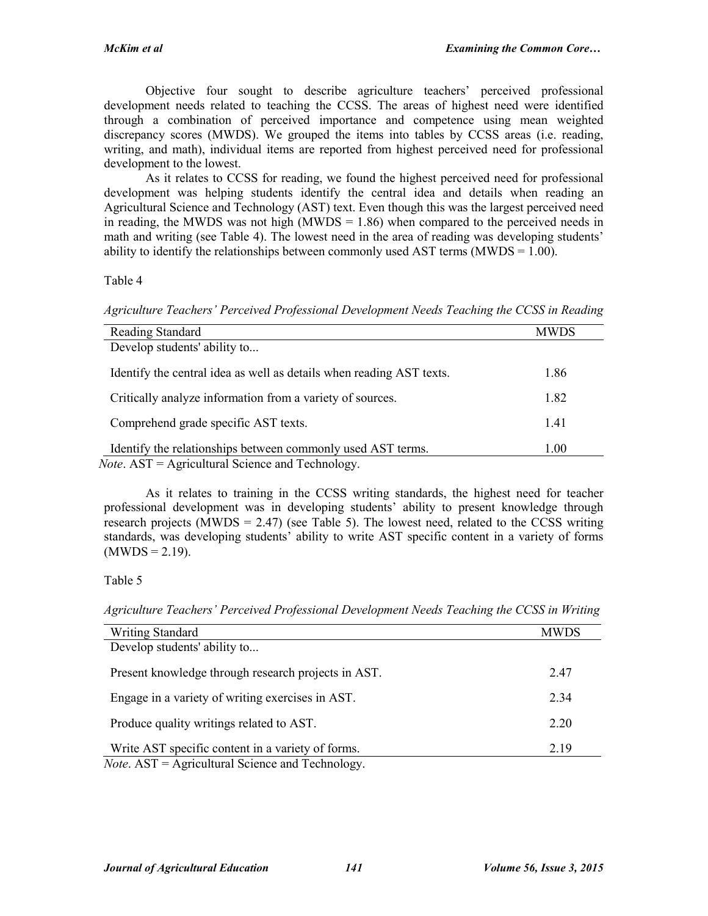Objective four sought to describe agriculture teachers' perceived professional development needs related to teaching the CCSS. The areas of highest need were identified through a combination of perceived importance and competence using mean weighted discrepancy scores (MWDS). We grouped the items into tables by CCSS areas (i.e. reading, writing, and math), individual items are reported from highest perceived need for professional development to the lowest.

As it relates to CCSS for reading, we found the highest perceived need for professional development was helping students identify the central idea and details when reading an Agricultural Science and Technology (AST) text. Even though this was the largest perceived need in reading, the MWDS was not high (MWDS  $= 1.86$ ) when compared to the perceived needs in math and writing (see Table 4). The lowest need in the area of reading was developing students' ability to identify the relationships between commonly used AST terms ( $MWDS = 1.00$ ).

#### Table 4

*Agriculture Teachers' Perceived Professional Development Needs Teaching the CCSS in Reading*

| Reading Standard                                                     | <b>MWDS</b> |
|----------------------------------------------------------------------|-------------|
| Develop students' ability to                                         |             |
| Identify the central idea as well as details when reading AST texts. | 1.86        |
| Critically analyze information from a variety of sources.            | 1.82        |
| Comprehend grade specific AST texts.                                 | 1.41        |
| Identify the relationships between commonly used AST terms.          | 1.00        |
| <i>Note.</i> $AST = Agricultural Science and Technology.$            |             |

As it relates to training in the CCSS writing standards, the highest need for teacher professional development was in developing students' ability to present knowledge through research projects (MWDS =  $2.47$ ) (see Table 5). The lowest need, related to the CCSS writing standards, was developing students' ability to write AST specific content in a variety of forms  $(MWDS = 2.19)$ .

# Table 5

*Agriculture Teachers' Perceived Professional Development Needs Teaching the CCSS in Writing* 

| <b>Writing Standard</b>                                   | <b>MWDS</b> |
|-----------------------------------------------------------|-------------|
| Develop students' ability to                              |             |
| Present knowledge through research projects in AST.       | 2.47        |
| Engage in a variety of writing exercises in AST.          | 2.34        |
| Produce quality writings related to AST.                  | 2.20        |
| Write AST specific content in a variety of forms.         | 2.19        |
| <i>Note.</i> $AST = Agricultural Science and Technology.$ |             |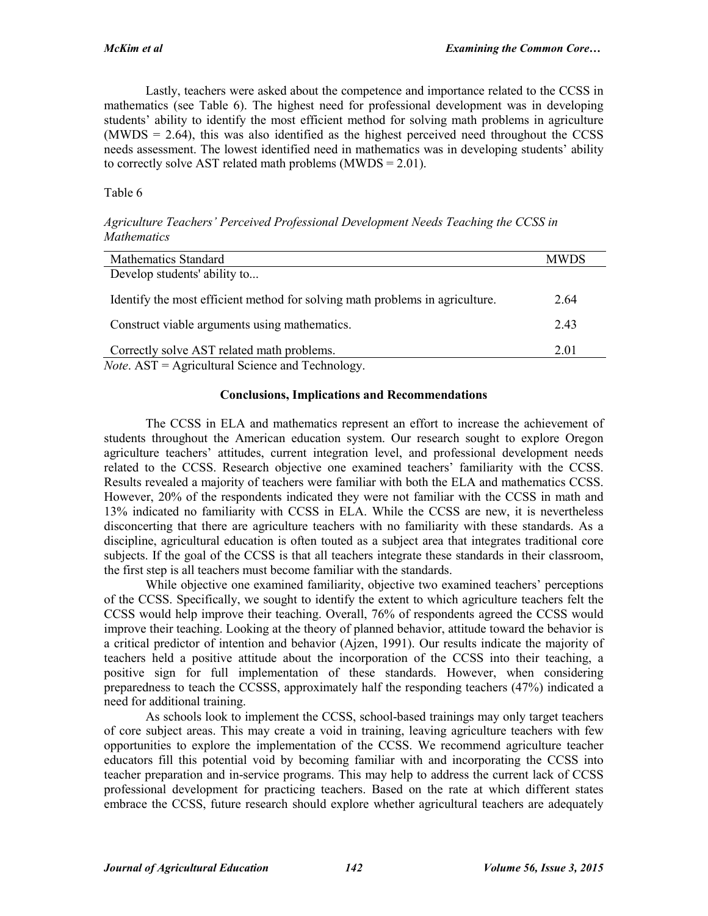Lastly, teachers were asked about the competence and importance related to the CCSS in mathematics (see Table 6). The highest need for professional development was in developing students' ability to identify the most efficient method for solving math problems in agriculture  $(MWDS = 2.64)$ , this was also identified as the highest perceived need throughout the CCSS needs assessment. The lowest identified need in mathematics was in developing students' ability to correctly solve AST related math problems (MWDS = 2.01).

#### Table 6

*Agriculture Teachers' Perceived Professional Development Needs Teaching the CCSS in Mathematics*

| <b>Mathematics Standard</b>                                                  | <b>MWDS</b> |
|------------------------------------------------------------------------------|-------------|
| Develop students' ability to                                                 |             |
| Identify the most efficient method for solving math problems in agriculture. | 2.64        |
| Construct viable arguments using mathematics.                                | 2.43        |
| Correctly solve AST related math problems.                                   | 2.01        |
| <i>Note.</i> AST = Agricultural Science and Technology.                      |             |

#### **Conclusions, Implications and Recommendations**

The CCSS in ELA and mathematics represent an effort to increase the achievement of students throughout the American education system. Our research sought to explore Oregon agriculture teachers' attitudes, current integration level, and professional development needs related to the CCSS. Research objective one examined teachers' familiarity with the CCSS. Results revealed a majority of teachers were familiar with both the ELA and mathematics CCSS. However, 20% of the respondents indicated they were not familiar with the CCSS in math and 13% indicated no familiarity with CCSS in ELA. While the CCSS are new, it is nevertheless disconcerting that there are agriculture teachers with no familiarity with these standards. As a discipline, agricultural education is often touted as a subject area that integrates traditional core subjects. If the goal of the CCSS is that all teachers integrate these standards in their classroom, the first step is all teachers must become familiar with the standards.

While objective one examined familiarity, objective two examined teachers' perceptions of the CCSS. Specifically, we sought to identify the extent to which agriculture teachers felt the CCSS would help improve their teaching. Overall, 76% of respondents agreed the CCSS would improve their teaching. Looking at the theory of planned behavior, attitude toward the behavior is a critical predictor of intention and behavior (Ajzen, 1991). Our results indicate the majority of teachers held a positive attitude about the incorporation of the CCSS into their teaching, a positive sign for full implementation of these standards. However, when considering preparedness to teach the CCSSS, approximately half the responding teachers (47%) indicated a need for additional training.

As schools look to implement the CCSS, school-based trainings may only target teachers of core subject areas. This may create a void in training, leaving agriculture teachers with few opportunities to explore the implementation of the CCSS. We recommend agriculture teacher educators fill this potential void by becoming familiar with and incorporating the CCSS into teacher preparation and in-service programs. This may help to address the current lack of CCSS professional development for practicing teachers. Based on the rate at which different states embrace the CCSS, future research should explore whether agricultural teachers are adequately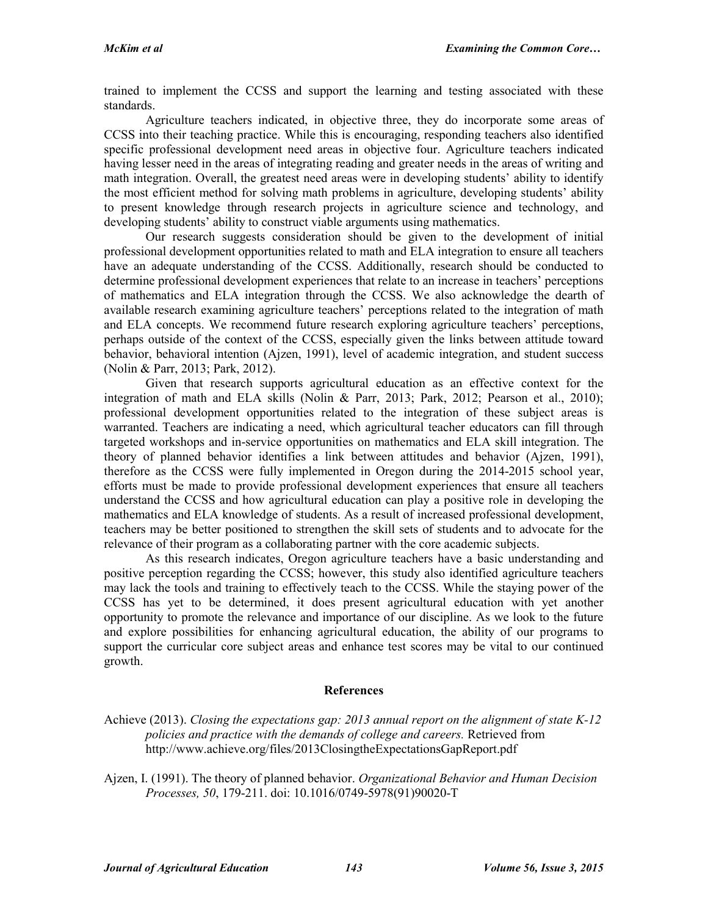trained to implement the CCSS and support the learning and testing associated with these standards.

Agriculture teachers indicated, in objective three, they do incorporate some areas of CCSS into their teaching practice. While this is encouraging, responding teachers also identified specific professional development need areas in objective four. Agriculture teachers indicated having lesser need in the areas of integrating reading and greater needs in the areas of writing and math integration. Overall, the greatest need areas were in developing students' ability to identify the most efficient method for solving math problems in agriculture, developing students' ability to present knowledge through research projects in agriculture science and technology, and developing students' ability to construct viable arguments using mathematics.

Our research suggests consideration should be given to the development of initial professional development opportunities related to math and ELA integration to ensure all teachers have an adequate understanding of the CCSS. Additionally, research should be conducted to determine professional development experiences that relate to an increase in teachers' perceptions of mathematics and ELA integration through the CCSS. We also acknowledge the dearth of available research examining agriculture teachers' perceptions related to the integration of math and ELA concepts. We recommend future research exploring agriculture teachers' perceptions, perhaps outside of the context of the CCSS, especially given the links between attitude toward behavior, behavioral intention (Ajzen, 1991), level of academic integration, and student success (Nolin & Parr, 2013; Park, 2012).

Given that research supports agricultural education as an effective context for the integration of math and ELA skills (Nolin & Parr, 2013; Park, 2012; Pearson et al., 2010); professional development opportunities related to the integration of these subject areas is warranted. Teachers are indicating a need, which agricultural teacher educators can fill through targeted workshops and in-service opportunities on mathematics and ELA skill integration. The theory of planned behavior identifies a link between attitudes and behavior (Ajzen, 1991), therefore as the CCSS were fully implemented in Oregon during the 2014-2015 school year, efforts must be made to provide professional development experiences that ensure all teachers understand the CCSS and how agricultural education can play a positive role in developing the mathematics and ELA knowledge of students. As a result of increased professional development, teachers may be better positioned to strengthen the skill sets of students and to advocate for the relevance of their program as a collaborating partner with the core academic subjects.

As this research indicates, Oregon agriculture teachers have a basic understanding and positive perception regarding the CCSS; however, this study also identified agriculture teachers may lack the tools and training to effectively teach to the CCSS. While the staying power of the CCSS has yet to be determined, it does present agricultural education with yet another opportunity to promote the relevance and importance of our discipline. As we look to the future and explore possibilities for enhancing agricultural education, the ability of our programs to support the curricular core subject areas and enhance test scores may be vital to our continued growth.

#### **References**

Achieve (2013). *Closing the expectations gap: 2013 annual report on the alignment of state K-12 policies and practice with the demands of college and careers.* Retrieved from http://www.achieve.org/files/2013ClosingtheExpectationsGapReport.pdf

Ajzen, I. (1991). The theory of planned behavior. *Organizational Behavior and Human Decision Processes, 50*, 179-211. doi: 10.1016/0749-5978(91)90020-T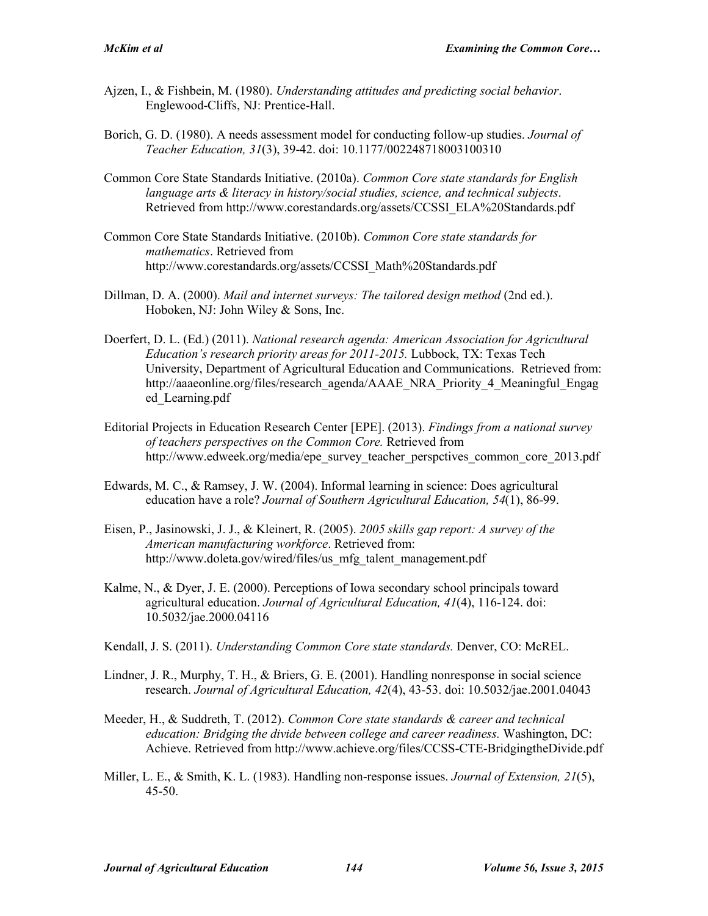- Ajzen, I., & Fishbein, M. (1980). *Understanding attitudes and predicting social behavior*. Englewood-Cliffs, NJ: Prentice-Hall.
- Borich, G. D. (1980). A needs assessment model for conducting follow-up studies. *Journal of Teacher Education, 31*(3), 39-42. doi: 10.1177/002248718003100310
- Common Core State Standards Initiative. (2010a). *Common Core state standards for English language arts & literacy in history/social studies, science, and technical subjects*. Retrieved from http://www.corestandards.org/assets/CCSSI\_ELA%20Standards.pdf
- Common Core State Standards Initiative. (2010b). *Common Core state standards for mathematics*. Retrieved from http://www.corestandards.org/assets/CCSSI\_Math%20Standards.pdf
- Dillman, D. A. (2000). *Mail and internet surveys: The tailored design method* (2nd ed.). Hoboken, NJ: John Wiley & Sons, Inc.
- Doerfert, D. L. (Ed.) (2011). *National research agenda: American Association for Agricultural Education's research priority areas for 2011-2015.* Lubbock, TX: Texas Tech University, Department of Agricultural Education and Communications. Retrieved from: http://aaaeonline.org/files/research\_agenda/AAAE\_NRA\_Priority\_4\_Meaningful\_Engag ed\_Learning.pdf
- Editorial Projects in Education Research Center [EPE]. (2013). *Findings from a national survey of teachers perspectives on the Common Core.* Retrieved from http://www.edweek.org/media/epe\_survey\_teacher\_perspctives\_common\_core\_2013.pdf
- Edwards, M. C., & Ramsey, J. W. (2004). Informal learning in science: Does agricultural education have a role? *Journal of Southern Agricultural Education, 54*(1), 86-99.
- Eisen, P., Jasinowski, J. J., & Kleinert, R. (2005). *2005 skills gap report: A survey of the American manufacturing workforce*. Retrieved from: http://www.doleta.gov/wired/files/us\_mfg\_talent\_management.pdf
- Kalme, N., & Dyer, J. E. (2000). Perceptions of Iowa secondary school principals toward agricultural education. *Journal of Agricultural Education, 41*(4), 116-124. doi: 10.5032/jae.2000.04116
- Kendall, J. S. (2011). *Understanding Common Core state standards.* Denver, CO: McREL.
- Lindner, J. R., Murphy, T. H., & Briers, G. E. (2001). Handling nonresponse in social science research. *Journal of Agricultural Education, 42*(4), 43-53. doi: 10.5032/jae.2001.04043
- Meeder, H., & Suddreth, T. (2012). *Common Core state standards & career and technical education: Bridging the divide between college and career readiness.* Washington, DC: Achieve. Retrieved from http://www.achieve.org/files/CCSS-CTE-BridgingtheDivide.pdf
- Miller, L. E., & Smith, K. L. (1983). Handling non-response issues. *Journal of Extension, 21*(5), 45-50.